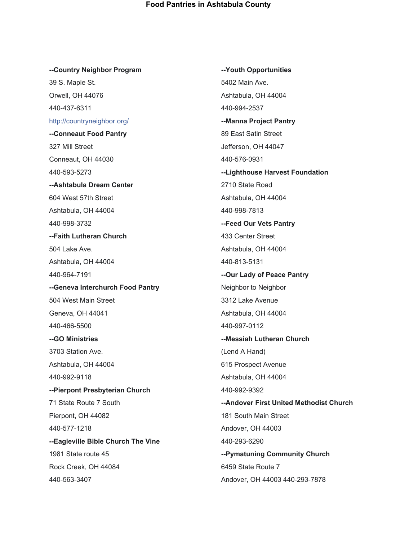**--Youth Opportunities**

## **--Country Neighbor Program** 39 S. Maple St. Orwell, OH 44076 440-437-6311 [http://countryneighbor.org/](https://l.facebook.com/l.php?u=http%3A%2F%2Fcountryneighbor.org%2F%3Ffbclid%3DIwAR1-BoFxTxaB9BGrlAIjPw4PoxDu7Z7LiRXMByqSVxWTRkFfUlnmyYOg36Y&h=AT2JqEPwQzkcdm7YMyu92gryn0WqGtuOfGPhYl8LYsnQYrHcQqkci5fKx2VGb6OAJRwnsrKG61SAxNus0ZCH776lkA1GfdlPK-dmeatoykKMW7IQv-PrG7WLq4DmjfGL8p9HKdkIbG79OEHRzuw3B9-z2RaeCAB5Vn3rZGXnczSFEvD5eg) **--Conneaut Food Pantry** 327 Mill Street Conneaut, OH 44030 440-593-5273 **--Ashtabula Dream Center** 604 West 57th Street Ashtabula, OH 44004 440-998-3732 **--Faith Lutheran Church** 504 Lake Ave. Ashtabula, OH 44004 440-964-7191 **--Geneva Interchurch Food Pantry** 504 West Main Street Geneva, OH 44041 440-466-5500 **--GO Ministries** 3703 Station Ave. Ashtabula, OH 44004 440-992-9118 **--Pierpont Presbyterian Church** 71 State Route 7 South Pierpont, OH 44082 440-577-1218 **--Eagleville Bible Church The Vine** 1981 State route 45 Rock Creek, OH 44084

440-563-3407

5402 Main Ave. Ashtabula, OH 44004 440-994-2537 **--Manna Project Pantry** 89 East Satin Street Jefferson, OH 44047 440-576-0931 **--Lighthouse Harvest Foundation** 2710 State Road Ashtabula, OH 44004 440-998-7813 **--Feed Our Vets Pantry** 433 Center Street Ashtabula, OH 44004 440-813-5131 **--Our Lady of Peace Pantry** Neighbor to Neighbor 3312 Lake Avenue Ashtabula, OH 44004 440-997-0112 **--Messiah Lutheran Church** (Lend A Hand) 615 Prospect Avenue Ashtabula, OH 44004 440-992-9392 **--Andover First United Methodist Church** 181 South Main Street Andover, OH 44003 440-293-6290 **--Pymatuning Community Church** 6459 State Route 7 Andover, OH 44003 440-293-7878